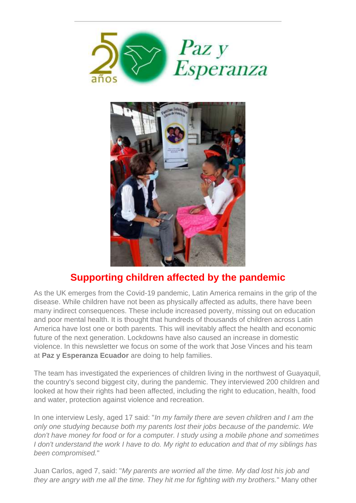



## **Supporting children affected by the pandemic**

As the UK emerges from the Covid-19 pandemic, Latin America remains in the grip of the disease. While children have not been as physically affected as adults, there have been many indirect consequences. These include increased poverty, missing out on education and poor mental health. It is thought that hundreds of thousands of children across Latin America have lost one or both parents. This will inevitably affect the health and economic future of the next generation. Lockdowns have also caused an increase in domestic violence. In this newsletter we focus on some of the work that Jose Vinces and his team at **Paz y Esperanza Ecuador** are doing to help families.

The team has investigated the experiences of children living in the northwest of Guayaquil, the country's second biggest city, during the pandemic. They interviewed 200 children and looked at how their rights had been affected, including the right to education, health, food and water, protection against violence and recreation.

In one interview Lesly, aged 17 said: "*In my family there are seven children and I am the only one studying because both my parents lost their jobs because of the pandemic. We don't have money for food or for a computer. I study using a mobile phone and sometimes I don't understand the work I have to do. My right to education and that of my siblings has been compromised.*"

Juan Carlos, aged 7, said: "*My parents are worried all the time. My dad lost his job and they are angry with me all the time. They hit me for fighting with my brothers.*" Many other